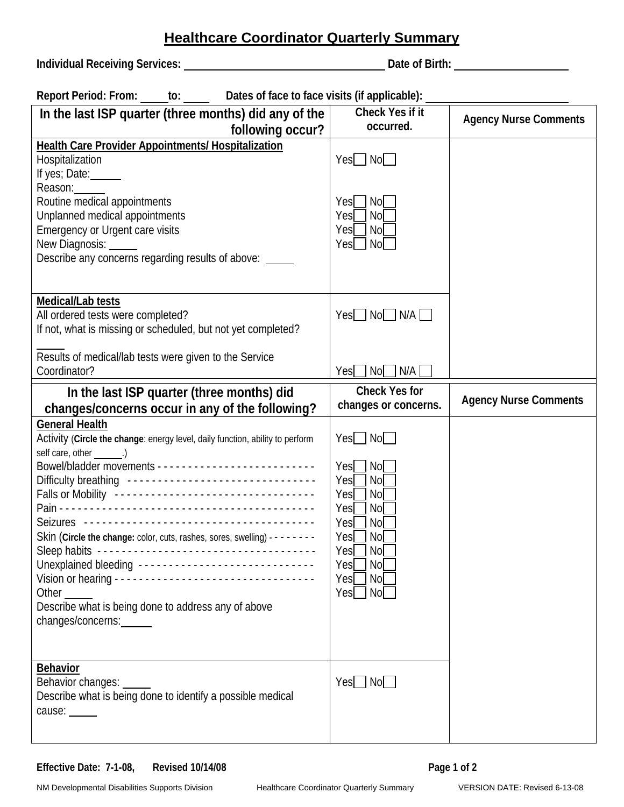## **Healthcare Coordinator Quarterly Summary**

**Individual Receiving Services: Date of Birth:** 

| <b>Report Period: From:</b> | Dates of face to face visits (if applicable): |
|-----------------------------|-----------------------------------------------|
|-----------------------------|-----------------------------------------------|

| In the last ISP quarter (three months) did any of the                                                                                                                                                                                                                                                                                                                                                                                                                             | Check Yes if it                                                                                                                                                    | <b>Agency Nurse Comments</b> |
|-----------------------------------------------------------------------------------------------------------------------------------------------------------------------------------------------------------------------------------------------------------------------------------------------------------------------------------------------------------------------------------------------------------------------------------------------------------------------------------|--------------------------------------------------------------------------------------------------------------------------------------------------------------------|------------------------------|
| following occur?                                                                                                                                                                                                                                                                                                                                                                                                                                                                  | occurred.                                                                                                                                                          |                              |
| <b>Health Care Provider Appointments/ Hospitalization</b><br>Hospitalization<br>If yes; Date:<br>Reason:                                                                                                                                                                                                                                                                                                                                                                          | $Yes$ No                                                                                                                                                           |                              |
| Routine medical appointments<br>Unplanned medical appointments<br>Emergency or Urgent care visits<br>New Diagnosis: _____<br>Describe any concerns regarding results of above: _____                                                                                                                                                                                                                                                                                              | No<br>Yesl I<br><b>No</b><br>Yesl<br>No<br>Yesl<br>Yes   No                                                                                                        |                              |
| Medical/Lab tests<br>All ordered tests were completed?<br>If not, what is missing or scheduled, but not yet completed?<br>Results of medical/lab tests were given to the Service<br>Coordinator?                                                                                                                                                                                                                                                                                  | Yes∐ No∐ N/A ∐<br>N/A<br>No<br>Yesl I                                                                                                                              |                              |
| In the last ISP quarter (three months) did                                                                                                                                                                                                                                                                                                                                                                                                                                        | <b>Check Yes for</b>                                                                                                                                               |                              |
| changes/concerns occur in any of the following?                                                                                                                                                                                                                                                                                                                                                                                                                                   | changes or concerns.                                                                                                                                               | <b>Agency Nurse Comments</b> |
| <b>General Health</b><br>Activity (Circle the change: energy level, daily function, ability to perform<br>self care, other _______.)<br>Difficulty breathing -------------------------------<br>Falls or Mobility ----------------------------------<br>Skin (Circle the change: color, cuts, rashes, sores, swelling) - - - - - - - -<br>Unexplained bleeding -----------------------------<br>Other<br>Describe what is being done to address any of above<br>changes/concerns: | Yes No<br>Yes   <br>No<br>Yes<br><b>No</b><br>Yesl<br><b>No</b><br>Yes<br>No<br>Yesl<br>No<br>No<br>Yesl<br>Yes<br>No<br><b>No</b><br>Yesl<br>Yesl<br>No<br>Yes No |                              |
| <b>Behavior</b><br>Behavior changes:<br>Describe what is being done to identify a possible medical<br>cause: _____                                                                                                                                                                                                                                                                                                                                                                | Yes   No                                                                                                                                                           |                              |